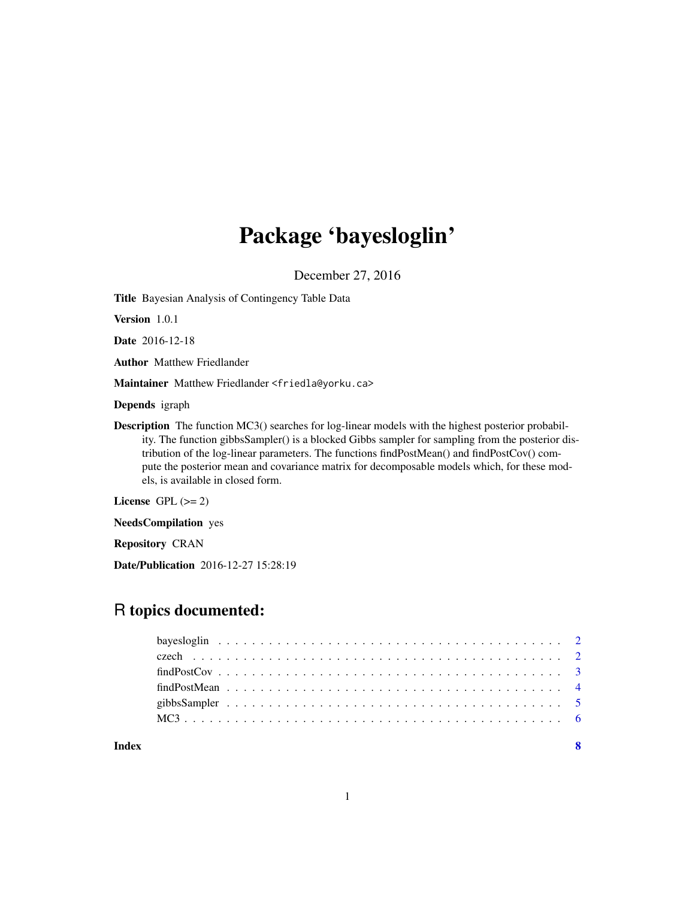## Package 'bayesloglin'

December 27, 2016

Title Bayesian Analysis of Contingency Table Data

Version 1.0.1

Date 2016-12-18

Author Matthew Friedlander

Maintainer Matthew Friedlander <friedla@yorku.ca>

Depends igraph

Description The function MC3() searches for log-linear models with the highest posterior probability. The function gibbsSampler() is a blocked Gibbs sampler for sampling from the posterior distribution of the log-linear parameters. The functions findPostMean() and findPostCov() compute the posterior mean and covariance matrix for decomposable models which, for these models, is available in closed form.

License GPL  $(>= 2)$ 

NeedsCompilation yes

Repository CRAN

Date/Publication 2016-12-27 15:28:19

### R topics documented:

| Index | $\overline{\mathbf{8}}$ |  |
|-------|-------------------------|--|
|       |                         |  |
|       |                         |  |
|       |                         |  |
|       |                         |  |
|       |                         |  |
|       |                         |  |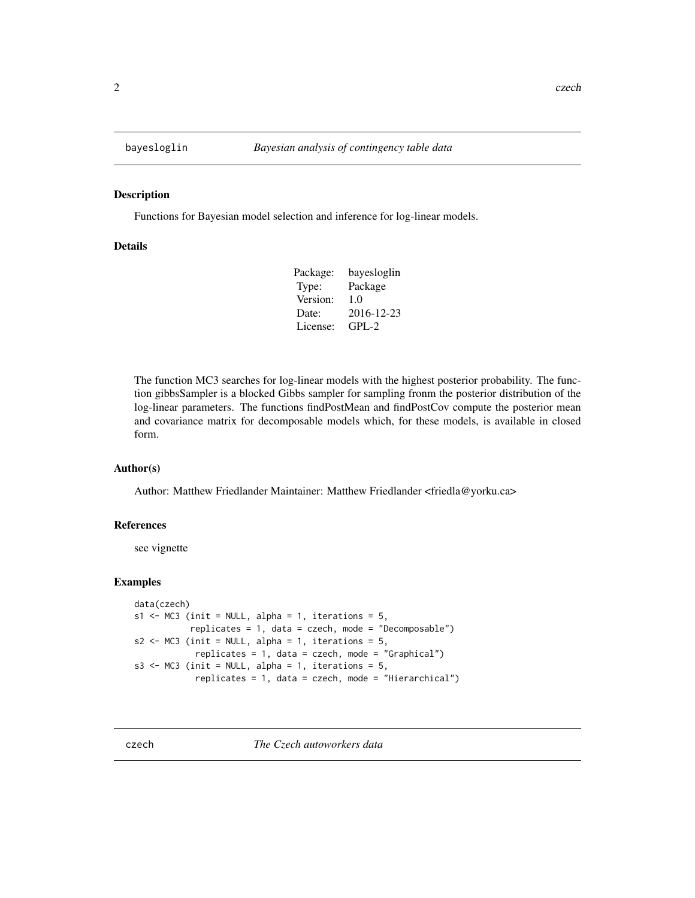<span id="page-1-0"></span>

#### Description

Functions for Bayesian model selection and inference for log-linear models.

#### Details

| Package: | bayesloglin |
|----------|-------------|
| Type:    | Package     |
| Version: | 1.0         |
| Date:    | 2016-12-23  |
| License: | $GPI - 2$   |

The function MC3 searches for log-linear models with the highest posterior probability. The function gibbsSampler is a blocked Gibbs sampler for sampling fronm the posterior distribution of the log-linear parameters. The functions findPostMean and findPostCov compute the posterior mean and covariance matrix for decomposable models which, for these models, is available in closed form.

#### Author(s)

Author: Matthew Friedlander Maintainer: Matthew Friedlander <friedla@yorku.ca>

#### References

see vignette

#### Examples

```
data(czech)
s1 \leq MC3 (init = NULL, alpha = 1, iterations = 5,
           replicates = 1, data = czech, mode = "Decomposable")
s2 \leq MCS (init = NULL, alpha = 1, iterations = 5,
            replicates = 1, data = czech, mode = "Graphical")
s3 <- MC3 (init = NULL, alpha = 1, iterations = 5,
            replicates = 1, data = czech, mode = "Hierarchical")
```
czech *The Czech autoworkers data*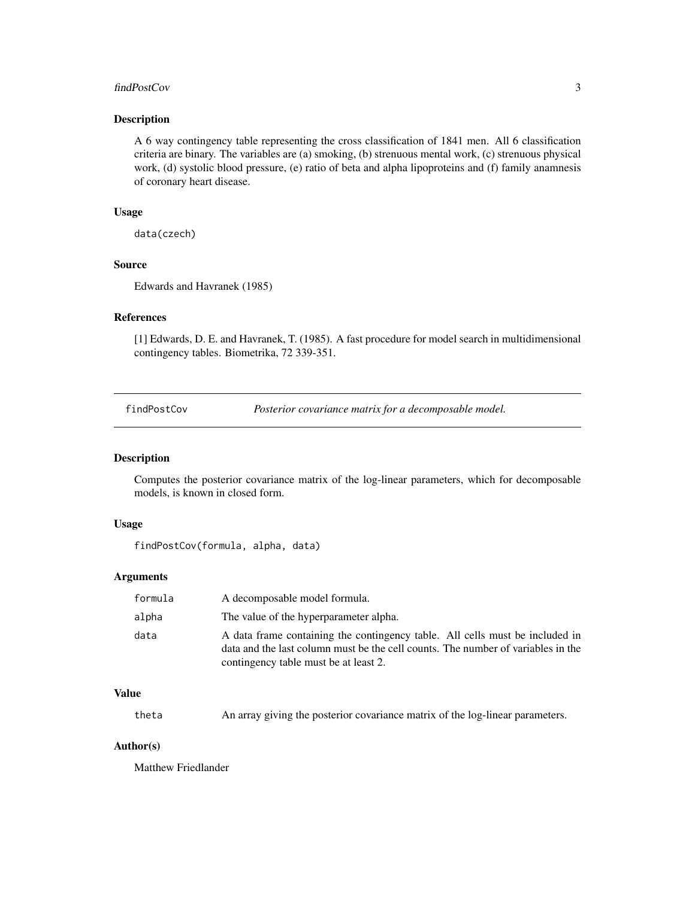#### <span id="page-2-0"></span>findPostCov 3

#### Description

A 6 way contingency table representing the cross classification of 1841 men. All 6 classification criteria are binary. The variables are (a) smoking, (b) strenuous mental work, (c) strenuous physical work, (d) systolic blood pressure, (e) ratio of beta and alpha lipoproteins and (f) family anamnesis of coronary heart disease.

#### Usage

data(czech)

#### Source

Edwards and Havranek (1985)

#### References

[1] Edwards, D. E. and Havranek, T. (1985). A fast procedure for model search in multidimensional contingency tables. Biometrika, 72 339-351.

findPostCov *Posterior covariance matrix for a decomposable model.*

#### Description

Computes the posterior covariance matrix of the log-linear parameters, which for decomposable models, is known in closed form.

#### Usage

findPostCov(formula, alpha, data)

#### Arguments

| formula | A decomposable model formula.                                                                                                                                                                             |
|---------|-----------------------------------------------------------------------------------------------------------------------------------------------------------------------------------------------------------|
| alpha   | The value of the hyperparameter alpha.                                                                                                                                                                    |
| data    | A data frame containing the contingency table. All cells must be included in<br>data and the last column must be the cell counts. The number of variables in the<br>contingency table must be at least 2. |

#### Value

| theta | An array giving the posterior covariance matrix of the log-linear parameters. |
|-------|-------------------------------------------------------------------------------|
|-------|-------------------------------------------------------------------------------|

#### Author(s)

Matthew Friedlander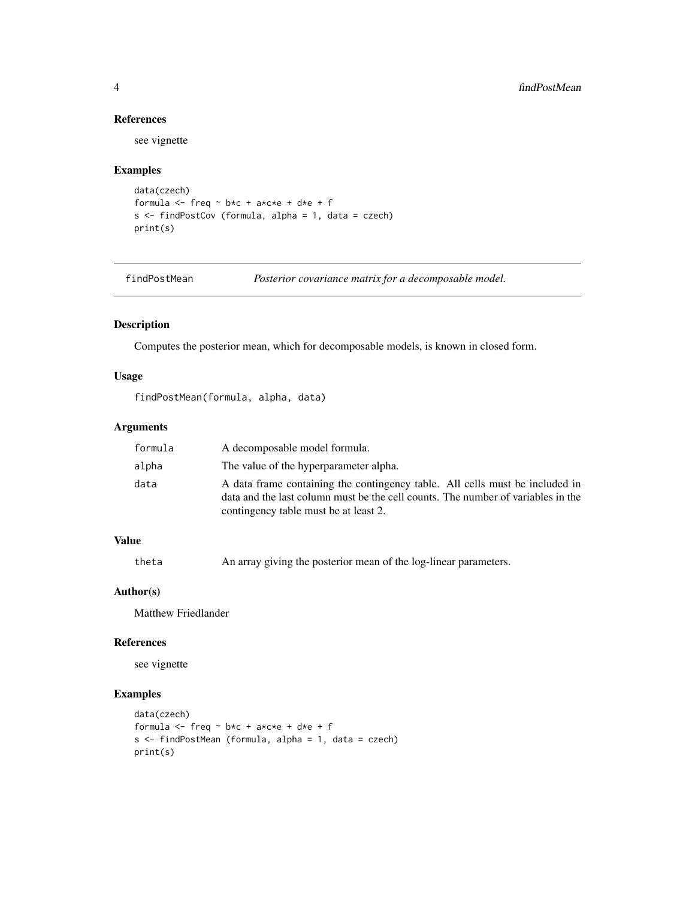#### References

see vignette

#### Examples

```
data(czech)
formula <- freq ~ b*c + a*c*e + d*e + f
s \leq findPostCov (formula, alpha = 1, data = czech)
print(s)
```
findPostMean *Posterior covariance matrix for a decomposable model.*

#### Description

Computes the posterior mean, which for decomposable models, is known in closed form.

#### Usage

findPostMean(formula, alpha, data)

#### Arguments

| formula | A decomposable model formula.                                                                                                                                                                             |
|---------|-----------------------------------------------------------------------------------------------------------------------------------------------------------------------------------------------------------|
| alpha   | The value of the hyperparameter alpha.                                                                                                                                                                    |
| data    | A data frame containing the contingency table. All cells must be included in<br>data and the last column must be the cell counts. The number of variables in the<br>contingency table must be at least 2. |

#### Value

```
theta An array giving the posterior mean of the log-linear parameters.
```
#### Author(s)

Matthew Friedlander

#### References

see vignette

#### Examples

```
data(czech)
formula \leq freq \sim b*c + a*c*e + d*e + f
s <- findPostMean (formula, alpha = 1, data = czech)
print(s)
```
<span id="page-3-0"></span>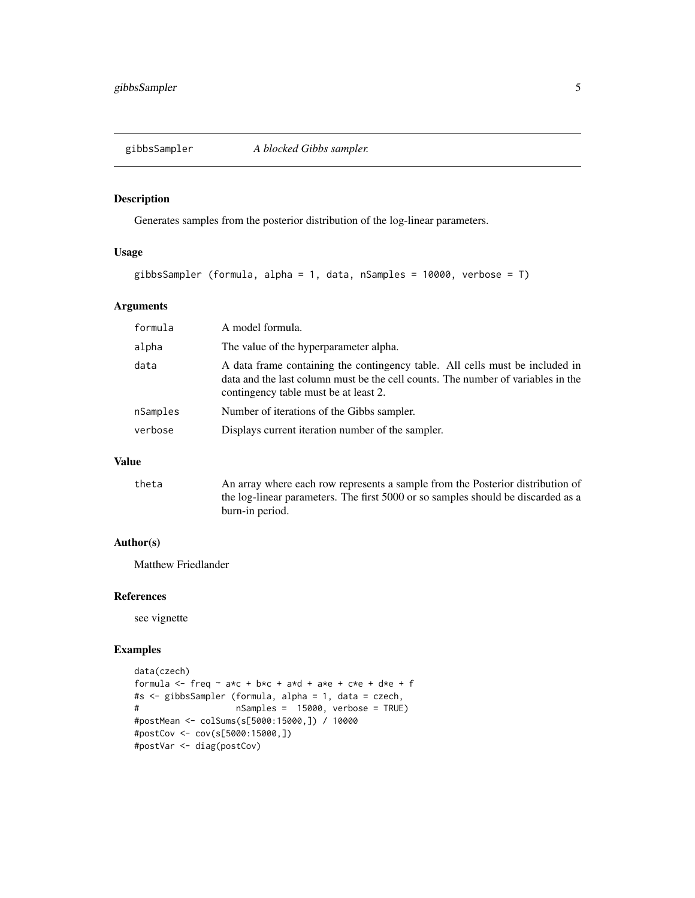<span id="page-4-0"></span>

#### Description

Generates samples from the posterior distribution of the log-linear parameters.

#### Usage

```
gibbsSampler (formula, alpha = 1, data, nSamples = 10000, verbose = T)
```
#### Arguments

| formula  | A model formula.                                                                                                                                                                                          |
|----------|-----------------------------------------------------------------------------------------------------------------------------------------------------------------------------------------------------------|
| alpha    | The value of the hyperparameter alpha.                                                                                                                                                                    |
| data     | A data frame containing the contingency table. All cells must be included in<br>data and the last column must be the cell counts. The number of variables in the<br>contingency table must be at least 2. |
| nSamples | Number of iterations of the Gibbs sampler.                                                                                                                                                                |
| verbose  | Displays current iteration number of the sampler.                                                                                                                                                         |

#### Value

| theta | An array where each row represents a sample from the Posterior distribution of   |
|-------|----------------------------------------------------------------------------------|
|       | the log-linear parameters. The first 5000 or so samples should be discarded as a |
|       | burn-in period.                                                                  |

#### Author(s)

Matthew Friedlander

#### References

see vignette

#### Examples

```
data(czech)
formula \leq freq \sim a*c + b*c + a*d + a*e + c*e + d*e + f
#s <- gibbsSampler (formula, alpha = 1, data = czech,
# nSamples = 15000, verbose = TRUE)
#postMean <- colSums(s[5000:15000,]) / 10000
#postCov <- cov(s[5000:15000,])
#postVar <- diag(postCov)
```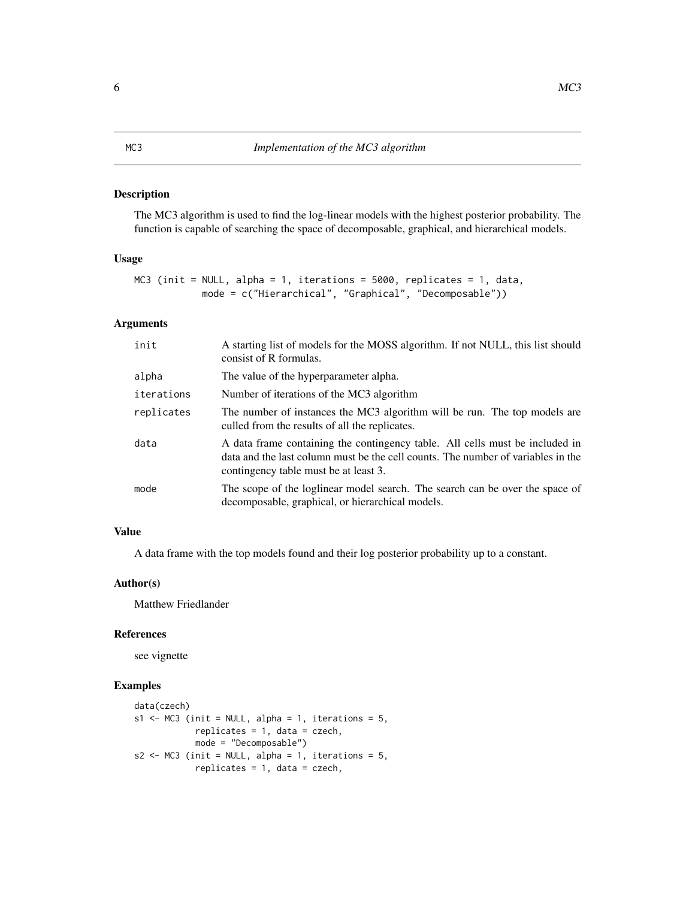#### <span id="page-5-0"></span>Description

The MC3 algorithm is used to find the log-linear models with the highest posterior probability. The function is capable of searching the space of decomposable, graphical, and hierarchical models.

#### Usage

```
MC3 (init = NULL, alpha = 1, iterations = 5000, replicates = 1, data,
            mode = c("Hierarchical", "Graphical", "Decomposable"))
```
#### Arguments

| init       | A starting list of models for the MOSS algorithm. If not NULL, this list should<br>consist of R formulas.                                                                                                 |
|------------|-----------------------------------------------------------------------------------------------------------------------------------------------------------------------------------------------------------|
| alpha      | The value of the hyperparameter alpha.                                                                                                                                                                    |
| iterations | Number of iterations of the MC3 algorithm                                                                                                                                                                 |
| replicates | The number of instances the MC3 algorithm will be run. The top models are<br>culled from the results of all the replicates.                                                                               |
| data       | A data frame containing the contingency table. All cells must be included in<br>data and the last column must be the cell counts. The number of variables in the<br>contingency table must be at least 3. |
| mode       | The scope of the loglinear model search. The search can be over the space of<br>decomposable, graphical, or hierarchical models.                                                                          |

#### Value

A data frame with the top models found and their log posterior probability up to a constant.

#### Author(s)

Matthew Friedlander

#### References

see vignette

#### Examples

```
data(czech)
s1 <- MC3 (init = NULL, alpha = 1, iterations = 5,
            replicates = 1, data = czech,
            mode = "Decomposable")
s2 \leq MCS (init = NULL, alpha = 1, iterations = 5,
            replicates = 1, data = czech,
```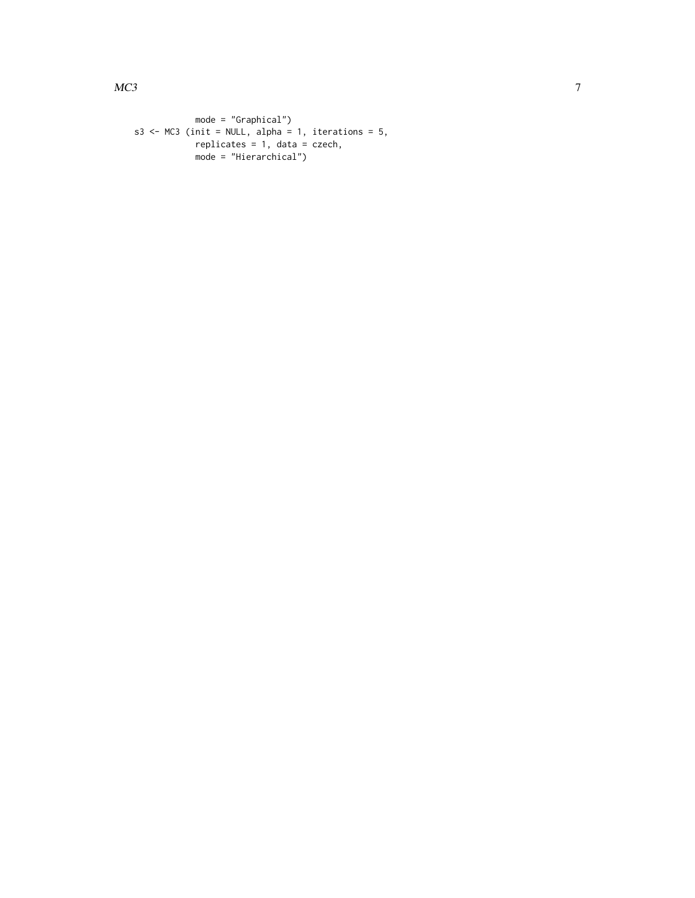```
mode = "Graphical")
s3 \leq MCS (init = NULL, alpha = 1, iterations = 5,
            replicates = 1, data = czech,
            mode = "Hierarchical")
```